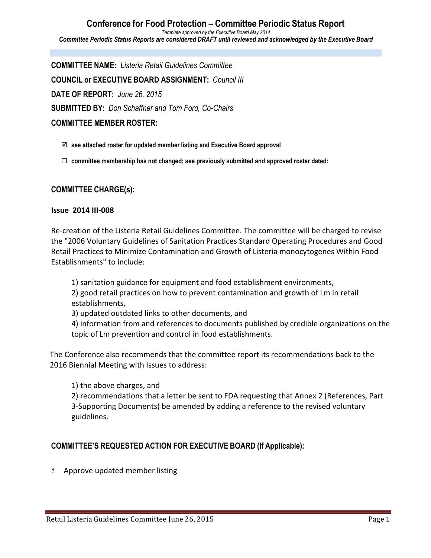**Conference for Food Protection – Committee Periodic Status Report** *Template approved by the Executive Board May 2014 Committee Periodic Status Reports are considered DRAFT until reviewed and acknowledged by the Executive Board*

**COMMITTEE NAME:** *Listeria Retail Guidelines Committee* **COUNCIL or EXECUTIVE BOARD ASSIGNMENT:** *Council III* **DATE OF REPORT:** *June 26, 2015* **SUBMITTED BY:** *Don Schaffner and Tom Ford, Co-Chairs* **COMMITTEE MEMBER ROSTER:**

- þ **see attached roster for updated member listing and Executive Board approval**
- ¨ **committee membership has not changed; see previously submitted and approved roster dated:**

### **COMMITTEE CHARGE(s):**

### **Issue 2014 III-008**

Re-creation of the Listeria Retail Guidelines Committee. The committee will be charged to revise the "2006 Voluntary Guidelines of Sanitation Practices Standard Operating Procedures and Good Retail Practices to Minimize Contamination and Growth of Listeria monocytogenes Within Food Establishments" to include:

1) sanitation guidance for equipment and food establishment environments, 2) good retail practices on how to prevent contamination and growth of Lm in retail

establishments,

3) updated outdated links to other documents, and

4) information from and references to documents published by credible organizations on the topic of Lm prevention and control in food establishments.

The Conference also recommends that the committee report its recommendations back to the 2016 Biennial Meeting with Issues to address:

1) the above charges, and

2) recommendations that a letter be sent to FDA requesting that Annex 2 (References, Part 3-Supporting Documents) be amended by adding a reference to the revised voluntary guidelines.

### **COMMITTEE'S REQUESTED ACTION FOR EXECUTIVE BOARD (If Applicable):**

1. Approve updated member listing